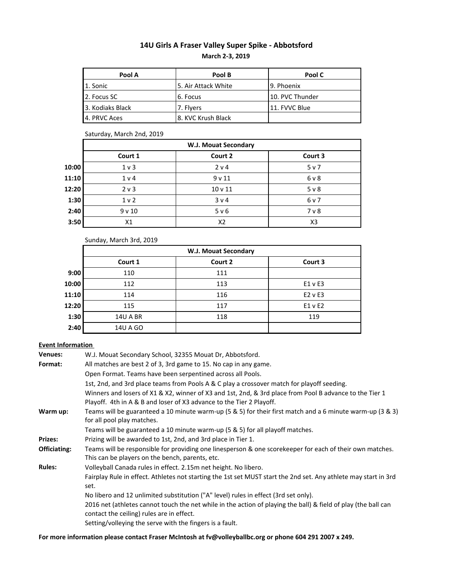# **14U Girls A Fraser Valley Super Spike - Abbotsford March 2-3, 2019**

| Pool A           | Pool B              | Pool C          |  |  |
|------------------|---------------------|-----------------|--|--|
| 1. Sonic         | 5. Air Attack White | l 9. Phoenix    |  |  |
| 2. Focus SC      | 6. Focus            | 10. PVC Thunder |  |  |
| 3. Kodiaks Black | 7. Flyers           | 11. FVVC Blue   |  |  |
| 4. PRVC Aces     | 8. KVC Krush Black  |                 |  |  |

### Saturday, March 2nd, 2019

|       | <b>W.J. Mouat Secondary</b> |                    |                |  |  |  |  |  |
|-------|-----------------------------|--------------------|----------------|--|--|--|--|--|
|       | Court 1                     | Court 2            | Court 3        |  |  |  |  |  |
| 10:00 | 1 <sub>v</sub>              | 2 v 4              | 5 v 7          |  |  |  |  |  |
| 11:10 | 1 <sub>v</sub>              | 9v11               | 6 v 8          |  |  |  |  |  |
| 12:20 | 2 v 3                       | 10 <sub>v</sub> 11 | $5v$ 8         |  |  |  |  |  |
| 1:30  | 1 <sub>v</sub>              | 3 v 4              | 6 v 7          |  |  |  |  |  |
| 2:40  | 9v10                        | 5 v 6              | 7 <sub>v</sub> |  |  |  |  |  |
| 3:50  | X1                          | X2                 | X <sub>3</sub> |  |  |  |  |  |

## Sunday, March 3rd, 2019

|       | <b>W.J. Mouat Secondary</b> |         |             |  |  |  |  |
|-------|-----------------------------|---------|-------------|--|--|--|--|
|       | Court 1                     | Court 2 | Court 3     |  |  |  |  |
| 9:00  | 110                         | 111     |             |  |  |  |  |
| 10:00 | 112                         | 113     | E1 v E3     |  |  |  |  |
| 11:10 | 114                         | 116     | $E2$ v $E3$ |  |  |  |  |
| 12:20 | 115                         | 117     | E1 v E2     |  |  |  |  |
| 1:30  | <b>14U A BR</b>             | 118     | 119         |  |  |  |  |
| 2:40  | 14U A GO                    |         |             |  |  |  |  |

## **Event Information**

| <b>Venues:</b> | W.J. Mouat Secondary School, 32355 Mouat Dr, Abbotsford.                                                                                                                        |
|----------------|---------------------------------------------------------------------------------------------------------------------------------------------------------------------------------|
| Format:        | All matches are best 2 of 3, 3rd game to 15. No cap in any game.                                                                                                                |
|                | Open Format. Teams have been serpentined across all Pools.                                                                                                                      |
|                | 1st, 2nd, and 3rd place teams from Pools A & C play a crossover match for playoff seeding.                                                                                      |
|                | Winners and losers of X1 & X2, winner of X3 and 1st, 2nd, & 3rd place from Pool B advance to the Tier 1<br>Playoff. 4th in A & B and loser of X3 advance to the Tier 2 Playoff. |
| Warm up:       | Teams will be guaranteed a 10 minute warm-up (5 & 5) for their first match and a 6 minute warm-up (3 & 3)<br>for all pool play matches.                                         |
|                | Teams will be guaranteed a 10 minute warm-up (5 & 5) for all playoff matches.                                                                                                   |
| <b>Prizes:</b> | Prizing will be awarded to 1st, 2nd, and 3rd place in Tier 1.                                                                                                                   |
| Officiating:   | Teams will be responsible for providing one linesperson & one scorekeeper for each of their own matches.<br>This can be players on the bench, parents, etc.                     |
| <b>Rules:</b>  | Volleyball Canada rules in effect. 2.15m net height. No libero.                                                                                                                 |
|                | Fairplay Rule in effect. Athletes not starting the 1st set MUST start the 2nd set. Any athlete may start in 3rd<br>set.                                                         |
|                | No libero and 12 unlimited substitution ("A" level) rules in effect (3rd set only).                                                                                             |
|                | 2016 net (athletes cannot touch the net while in the action of playing the ball) & field of play (the ball can<br>contact the ceiling) rules are in effect.                     |
|                | Setting/volleying the serve with the fingers is a fault.                                                                                                                        |

## **For more information please contact Fraser McIntosh at fv@volleyballbc.org or phone 604 291 2007 x 249.**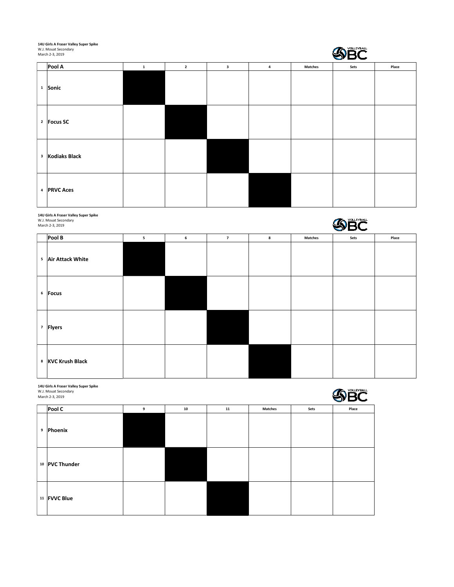**14U Girls A Fraser Valley Super Spike** W.J. Mouat Secondary

| THO QUID HILLOSEL AGUES SUPEL SPINE<br>W.J. Mouat Secondary<br>March 2-3, 2019 |              |                |                         |   |                | <b>SBC</b> |       |
|--------------------------------------------------------------------------------|--------------|----------------|-------------------------|---|----------------|------------|-------|
| Pool A                                                                         | $\mathbf{1}$ | $\overline{2}$ | $\overline{\mathbf{3}}$ | 4 | <b>Matches</b> | Sets       | Place |
| <sup>1</sup> Sonic                                                             |              |                |                         |   |                |            |       |
| <sup>2</sup> Focus SC                                                          |              |                |                         |   |                |            |       |
| <sup>3</sup> Kodiaks Black                                                     |              |                |                         |   |                |            |       |
| 4 PRVC Aces                                                                    |              |                |                         |   |                |            |       |

**14U Girls A Fraser Valley Super Spike** W.J. Mouat Secondary March 2-3, 2019 SBC **Pool B** 5 5 6 7 8 Matches Sets Place **<sup>5</sup> Air Attack White <sup>6</sup> Focus <sup>7</sup> Flyers <sup>8</sup> KVC Krush Black**

| 14U Girls A Fraser Valley Super Spike<br><b>VOLLEYBALL</b><br>W.J. Mouat Secondary<br>March 2-3, 2019 |                |   |    |    |                |      |       |
|-------------------------------------------------------------------------------------------------------|----------------|---|----|----|----------------|------|-------|
|                                                                                                       | Pool C         | 9 | 10 | 11 | <b>Matches</b> | Sets | Place |
| 9                                                                                                     | Phoenix        |   |    |    |                |      |       |
|                                                                                                       | 10 PVC Thunder |   |    |    |                |      |       |
|                                                                                                       | 11 FVVC Blue   |   |    |    |                |      |       |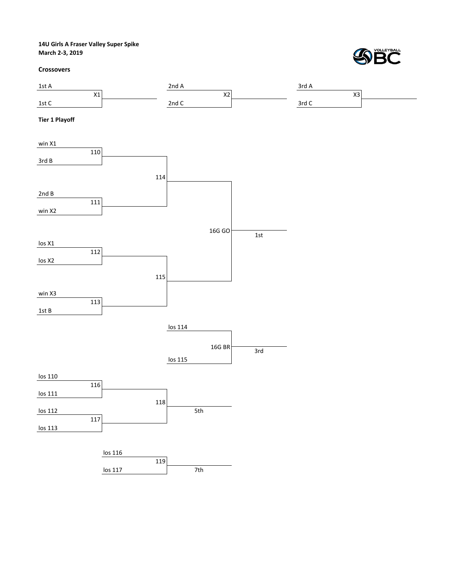**14U Girls A Fraser Valley Super Spike March 2-3, 2019**

#### **Crossovers**



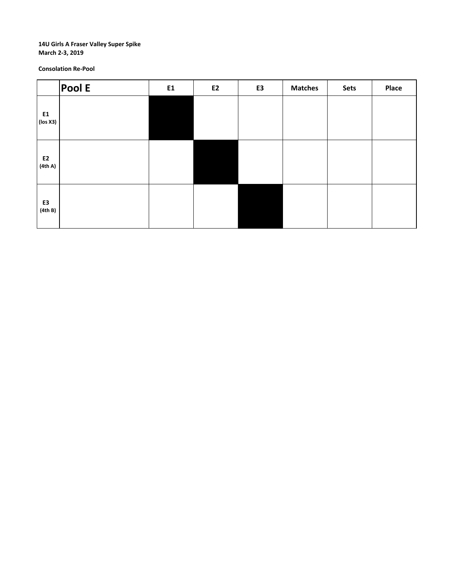#### **14U Girls A Fraser Valley Super Spike March 2-3, 2019**

**Consolation Re-Pool**

|                                | Pool E | E1 | E2 | E3 | <b>Matches</b> | Sets | Place |
|--------------------------------|--------|----|----|----|----------------|------|-------|
| ${\bf E1}$<br>$\vert$ (los X3) |        |    |    |    |                |      |       |
| E2<br>(4th A)                  |        |    |    |    |                |      |       |
| E3<br>(4th B)                  |        |    |    |    |                |      |       |